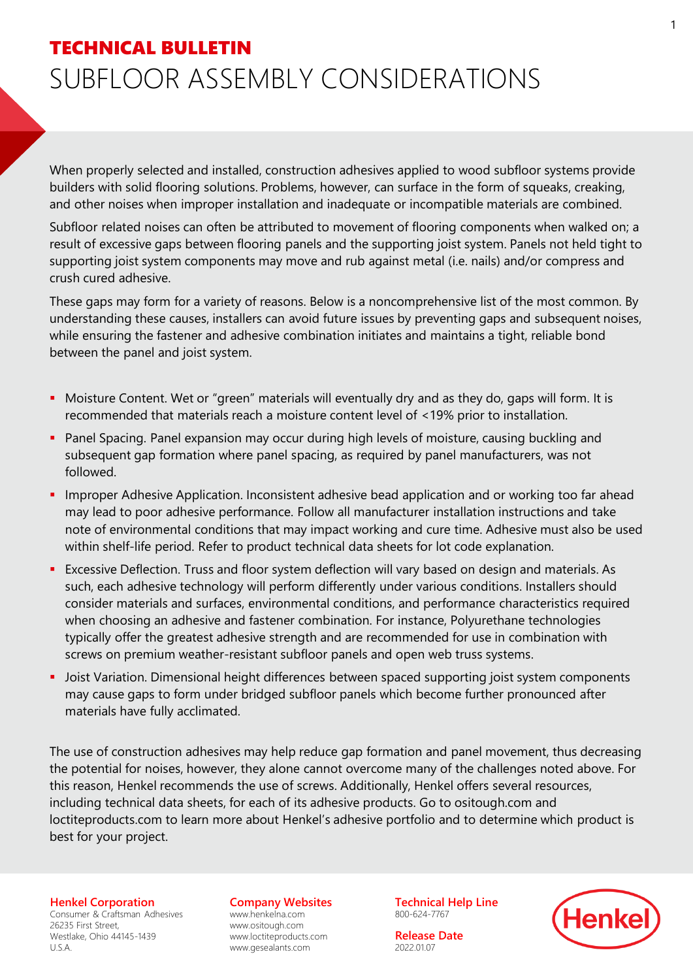## TECHNICAL BULLETIN SUBFLOOR ASSEMBLY CONSIDERATIONS

When properly selected and installed, construction adhesives applied to wood subfloor systems provide builders with solid flooring solutions. Problems, however, can surface in the form of squeaks, creaking, and other noises when improper installation and inadequate or incompatible materials are combined.

Subfloor related noises can often be attributed to movement of flooring components when walked on; a result of excessive gaps between flooring panels and the supporting joist system. Panels not held tight to supporting joist system components may move and rub against metal (i.e. nails) and/or compress and crush cured adhesive.

These gaps may form for a variety of reasons. Below is a noncomprehensive list of the most common. By understanding these causes, installers can avoid future issues by preventing gaps and subsequent noises, while ensuring the fastener and adhesive combination initiates and maintains a tight, reliable bond between the panel and joist system.

- Moisture Content. Wet or "green" materials will eventually dry and as they do, gaps will form. It is recommended that materials reach a moisture content level of <19% prior to installation.
- **Panel Spacing. Panel expansion may occur during high levels of moisture, causing buckling and** subsequent gap formation where panel spacing, as required by panel manufacturers, was not followed.
- **.** Improper Adhesive Application. Inconsistent adhesive bead application and or working too far ahead may lead to poor adhesive performance. Follow all manufacturer installation instructions and take note of environmental conditions that may impact working and cure time. Adhesive must also be used within shelf-life period. Refer to product technical data sheets for lot code explanation.
- **EXCESSIVE Deflection. Truss and floor system deflection will vary based on design and materials. As** such, each adhesive technology will perform differently under various conditions. Installers should consider materials and surfaces, environmental conditions, and performance characteristics required when choosing an adhesive and fastener combination. For instance, Polyurethane technologies typically offer the greatest adhesive strength and are recommended for use in combination with screws on premium weather-resistant subfloor panels and open web truss systems.
- **•** Joist Variation. Dimensional height differences between spaced supporting joist system components may cause gaps to form under bridged subfloor panels which become further pronounced after materials have fully acclimated.

The use of construction adhesives may help reduce gap formation and panel movement, thus decreasing the potential for noises, however, they alone cannot overcome many of the challenges noted above. For this reason, Henkel recommends the use of screws. Additionally, Henkel offers several resources, including technical data sheets, for each of its adhesive products. Go to ositough.com and loctiteproducts.com to learn more about Henkel's adhesive portfolio and to determine which product is best for your project.

**Henkel Corporation**

Consumer & Craftsman Adhesives 26235 First Street, Westlake, Ohio 44145-1439 U.S.A.

**Company Websites**

www.henkelna.com www.ositough.com www.loctiteproducts.com www.gesealants.com

**Technical Help Line**  800-624-7767

**Release Date** 2022.01.07

**Henke**